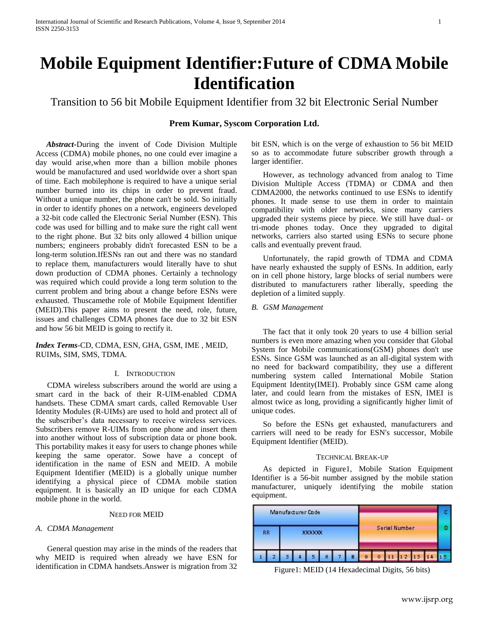# **Mobile Equipment Identifier:Future of CDMA Mobile Identification**

Transition to 56 bit Mobile Equipment Identifier from 32 bit Electronic Serial Number

# **Prem Kumar, Syscom Corporation Ltd.**

*Abstract***-**During the invent of Code Division Multiple Access (CDMA) mobile phones, no one could ever imagine a day would arise,when more than a billion mobile phones would be manufactured and used worldwide over a short span of time. Each mobilephone is required to have a unique serial number burned into its chips in order to prevent fraud. Without a unique number, the phone can't be sold. So initially in order to identify phones on a network, engineers developed a 32-bit code called the Electronic Serial Number (ESN). This code was used for billing and to make sure the right call went to the right phone. But 32 bits only allowed 4 billion unique numbers; engineers probably didn't forecasted ESN to be a long-term solution.IfESNs ran out and there was no standard to replace them, manufacturers would literally have to shut down production of CDMA phones. Certainly a technology was required which could provide a long term solution to the current problem and bring about a change before ESNs were exhausted. Thuscamethe role of Mobile Equipment Identifier (MEID).This paper aims to present the need, role, future, issues and challenges CDMA phones face due to 32 bit ESN and how 56 bit MEID is going to rectify it.

*Index Terms*-CD, CDMA, ESN, GHA, GSM, IME , MEID, RUIMs, SIM, SMS, TDMA*.*

## I. INTRODUCTION

CDMA wireless subscribers around the world are using a smart card in the back of their R-UIM-enabled CDMA handsets. These CDMA smart cards, called Removable User Identity Modules (R-UIMs) are used to hold and protect all of the subscriber's data necessary to receive wireless services. Subscribers remove R-UIMs from one phone and insert them into another without loss of subscription data or phone book. This portability makes it easy for users to change phones while keeping the same operator. Sowe have a concept of identification in the name of ESN and MEID. A mobile Equipment Identifier (MEID) is a globally unique number identifying a physical piece of CDMA mobile station equipment. It is basically an ID unique for each CDMA mobile phone in the world.

#### NEED FOR MEID

#### *A. CDMA Management*

General question may arise in the minds of the readers that why MEID is required when already we have ESN for identification in CDMA handsets.Answer is migration from 32 bit ESN, which is on the verge of exhaustion to 56 bit MEID so as to accommodate future subscriber growth through a larger identifier.

However, as technology advanced from analog to Time Division Multiple Access (TDMA) or CDMA and then CDMA2000, the networks continued to use ESNs to identify phones. It made sense to use them in order to maintain compatibility with older networks, since many carriers upgraded their systems piece by piece. We still have dual- or tri-mode phones today. Once they upgraded to digital networks, carriers also started using ESNs to secure phone calls and eventually prevent fraud.

Unfortunately, the rapid growth of TDMA and CDMA have nearly exhausted the supply of ESNs. In addition, early on in cell phone history, large blocks of serial numbers were distributed to manufacturers rather liberally, speeding the depletion of a limited supply.

## *B. GSM Management*

The fact that it only took 20 years to use 4 billion serial numbers is even more amazing when you consider that Global System for Mobile communications(GSM) phones don't use ESNs. Since GSM was launched as an all-digital system with no need for backward compatibility, they use a different numbering system called International Mobile Station Equipment Identity(IMEI). Probably since GSM came along later, and could learn from the mistakes of ESN, IMEI is almost twice as long, providing a significantly higher limit of unique codes.

So before the ESNs get exhausted, manufacturers and carriers will need to be ready for ESN's successor, Mobile Equipment Identifier (MEID).

#### TECHNICAL BREAK-UP

As depicted in Figure1, Mobile Station Equipment Identifier is a 56-bit number assigned by the mobile station manufacturer, uniquely identifying the mobile station equipment.

| Manufacturer Code |  |        |  |   |   |  |   |                      |   |  |  |  |  |  |
|-------------------|--|--------|--|---|---|--|---|----------------------|---|--|--|--|--|--|
| <b>RR</b>         |  | XXXXXX |  |   |   |  |   | <b>Serial Number</b> |   |  |  |  |  |  |
|                   |  |        |  | 5 | б |  | в | ٩                    | m |  |  |  |  |  |

Figure1: MEID (14 Hexadecimal Digits, 56 bits)